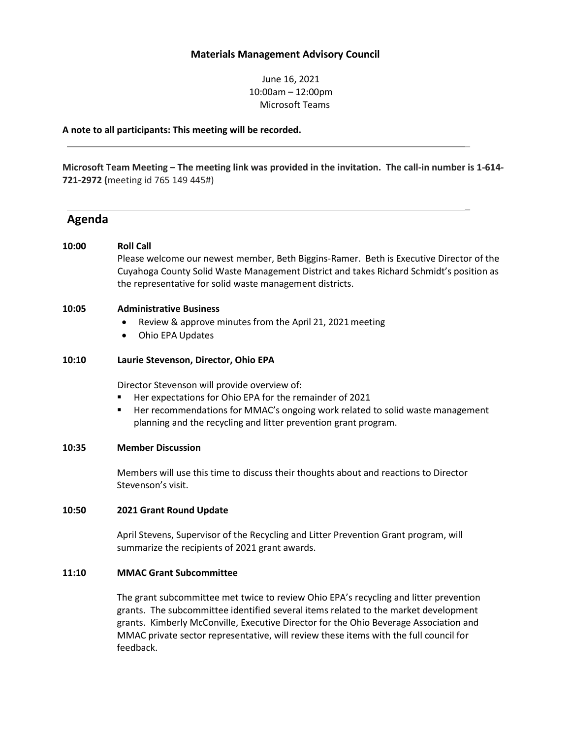# **Materials Management Advisory Council**

June 16, 2021 10:00am – 12:00pm Microsoft Teams

**A note to all participants: This meeting will be recorded.**

**Microsoft Team Meeting – The meeting link was provided in the invitation. The call-in number is 1-614- 721-2972 (**meeting id 765 149 445#)

# **Agenda**

## **10:00 Roll Call**

Please welcome our newest member, Beth Biggins-Ramer. Beth is Executive Director of the Cuyahoga County Solid Waste Management District and takes Richard Schmidt's position as the representative for solid waste management districts.

\_

\_

#### **10:05 Administrative Business**

- Review & approve minutes from the April 21, 2021 meeting
- Ohio EPA Updates

#### **10:10 Laurie Stevenson, Director, Ohio EPA**

Director Stevenson will provide overview of:

- Her expectations for Ohio EPA for the remainder of 2021
- **Her recommendations for MMAC's ongoing work related to solid waste management** planning and the recycling and litter prevention grant program.

# **10:35 Member Discussion**

Members will use this time to discuss their thoughts about and reactions to Director Stevenson's visit.

#### **10:50 2021 Grant Round Update**

April Stevens, Supervisor of the Recycling and Litter Prevention Grant program, will summarize the recipients of 2021 grant awards.

#### **11:10 MMAC Grant Subcommittee**

The grant subcommittee met twice to review Ohio EPA's recycling and litter prevention grants. The subcommittee identified several items related to the market development grants. Kimberly McConville, Executive Director for the Ohio Beverage Association and MMAC private sector representative, will review these items with the full council for feedback.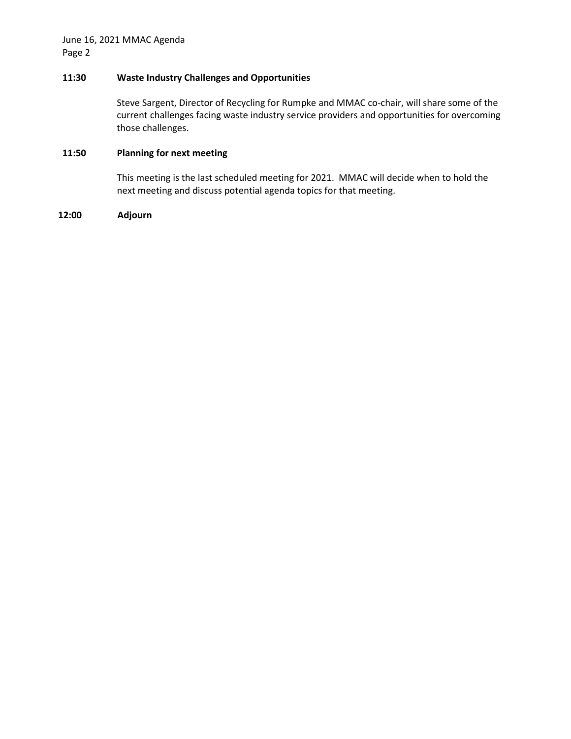# **11:30 Waste Industry Challenges and Opportunities**

Steve Sargent, Director of Recycling for Rumpke and MMAC co-chair, will share some of the current challenges facing waste industry service providers and opportunities for overcoming those challenges.

# **11:50 Planning for next meeting**

This meeting is the last scheduled meeting for 2021. MMAC will decide when to hold the next meeting and discuss potential agenda topics for that meeting.

# **12:00 Adjourn**